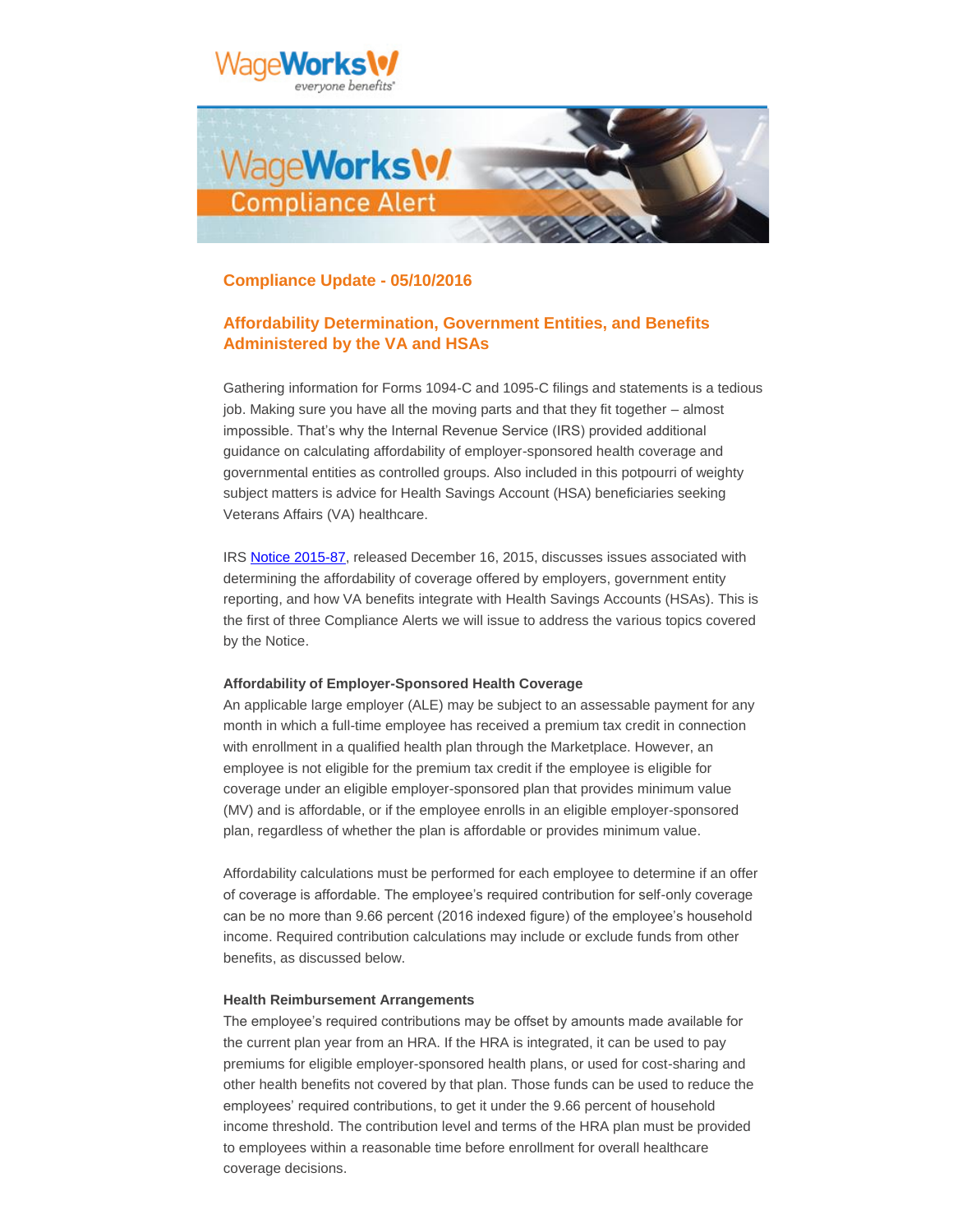

# **Compliance Update - 05/10/2016**

# **Affordability Determination, Government Entities, and Benefits Administered by the VA and HSAs**

Gathering information for Forms 1094-C and 1095-C filings and statements is a tedious job. Making sure you have all the moving parts and that they fit together – almost impossible. That's why the Internal Revenue Service (IRS) provided additional guidance on calculating affordability of employer-sponsored health coverage and governmental entities as controlled groups. Also included in this potpourri of weighty subject matters is advice for Health Savings Account (HSA) beneficiaries seeking Veterans Affairs (VA) healthcare.

IRS [Notice 2015-87,](https://www.irs.gov/pub/irs-drop/n-15-87.pdf?elqTrackId=2EECDA8867E362A2EB4FD8B9AFB2B453&elq=67601af8cf394b0d8cce537d0b86f955&elqaid=560&elqat=1&elqCampaignId=) released December 16, 2015, discusses issues associated with determining the affordability of coverage offered by employers, government entity reporting, and how VA benefits integrate with Health Savings Accounts (HSAs). This is the first of three Compliance Alerts we will issue to address the various topics covered by the Notice.

### **Affordability of Employer-Sponsored Health Coverage**

An applicable large employer (ALE) may be subject to an assessable payment for any month in which a full-time employee has received a premium tax credit in connection with enrollment in a qualified health plan through the Marketplace. However, an employee is not eligible for the premium tax credit if the employee is eligible for coverage under an eligible employer-sponsored plan that provides minimum value (MV) and is affordable, or if the employee enrolls in an eligible employer-sponsored plan, regardless of whether the plan is affordable or provides minimum value.

Affordability calculations must be performed for each employee to determine if an offer of coverage is affordable. The employee's required contribution for self-only coverage can be no more than 9.66 percent (2016 indexed figure) of the employee's household income. Required contribution calculations may include or exclude funds from other benefits, as discussed below.

#### **Health Reimbursement Arrangements**

The employee's required contributions may be offset by amounts made available for the current plan year from an HRA. If the HRA is integrated, it can be used to pay premiums for eligible employer-sponsored health plans, or used for cost-sharing and other health benefits not covered by that plan. Those funds can be used to reduce the employees' required contributions, to get it under the 9.66 percent of household income threshold. The contribution level and terms of the HRA plan must be provided to employees within a reasonable time before enrollment for overall healthcare coverage decisions.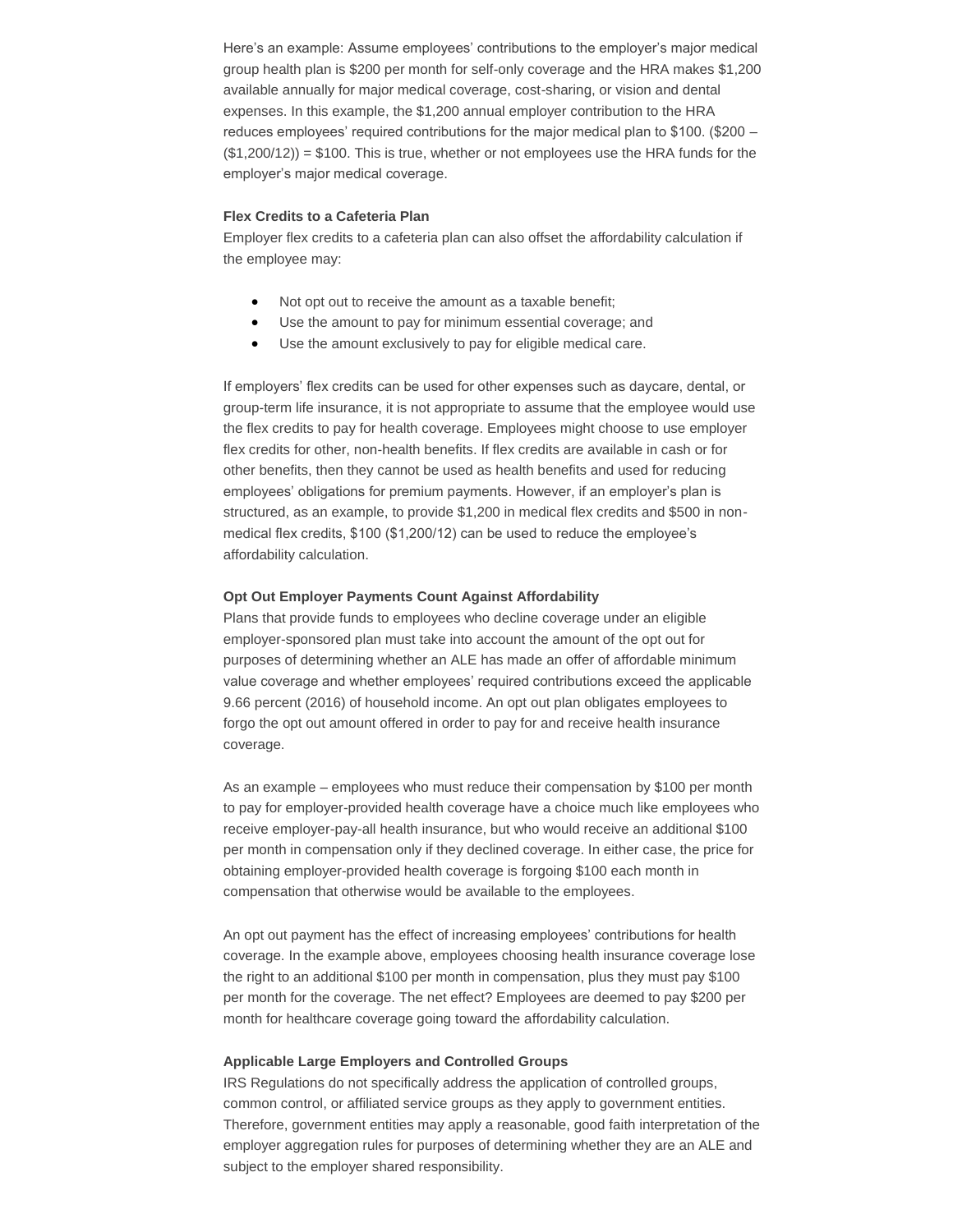Here's an example: Assume employees' contributions to the employer's major medical group health plan is \$200 per month for self-only coverage and the HRA makes \$1,200 available annually for major medical coverage, cost-sharing, or vision and dental expenses. In this example, the \$1,200 annual employer contribution to the HRA reduces employees' required contributions for the major medical plan to \$100. (\$200 –  $($1,200/12)$  = \$100. This is true, whether or not employees use the HRA funds for the employer's major medical coverage.

#### **Flex Credits to a Cafeteria Plan**

Employer flex credits to a cafeteria plan can also offset the affordability calculation if the employee may:

- Not opt out to receive the amount as a taxable benefit;
- Use the amount to pay for minimum essential coverage; and
- Use the amount exclusively to pay for eligible medical care.

If employers' flex credits can be used for other expenses such as daycare, dental, or group-term life insurance, it is not appropriate to assume that the employee would use the flex credits to pay for health coverage. Employees might choose to use employer flex credits for other, non-health benefits. If flex credits are available in cash or for other benefits, then they cannot be used as health benefits and used for reducing employees' obligations for premium payments. However, if an employer's plan is structured, as an example, to provide \$1,200 in medical flex credits and \$500 in nonmedical flex credits, \$100 (\$1,200/12) can be used to reduce the employee's affordability calculation.

#### **Opt Out Employer Payments Count Against Affordability**

Plans that provide funds to employees who decline coverage under an eligible employer-sponsored plan must take into account the amount of the opt out for purposes of determining whether an ALE has made an offer of affordable minimum value coverage and whether employees' required contributions exceed the applicable 9.66 percent (2016) of household income. An opt out plan obligates employees to forgo the opt out amount offered in order to pay for and receive health insurance coverage.

As an example – employees who must reduce their compensation by \$100 per month to pay for employer-provided health coverage have a choice much like employees who receive employer-pay-all health insurance, but who would receive an additional \$100 per month in compensation only if they declined coverage. In either case, the price for obtaining employer-provided health coverage is forgoing \$100 each month in compensation that otherwise would be available to the employees.

An opt out payment has the effect of increasing employees' contributions for health coverage. In the example above, employees choosing health insurance coverage lose the right to an additional \$100 per month in compensation, plus they must pay \$100 per month for the coverage. The net effect? Employees are deemed to pay \$200 per month for healthcare coverage going toward the affordability calculation.

#### **Applicable Large Employers and Controlled Groups**

IRS Regulations do not specifically address the application of controlled groups, common control, or affiliated service groups as they apply to government entities. Therefore, government entities may apply a reasonable, good faith interpretation of the employer aggregation rules for purposes of determining whether they are an ALE and subject to the employer shared responsibility.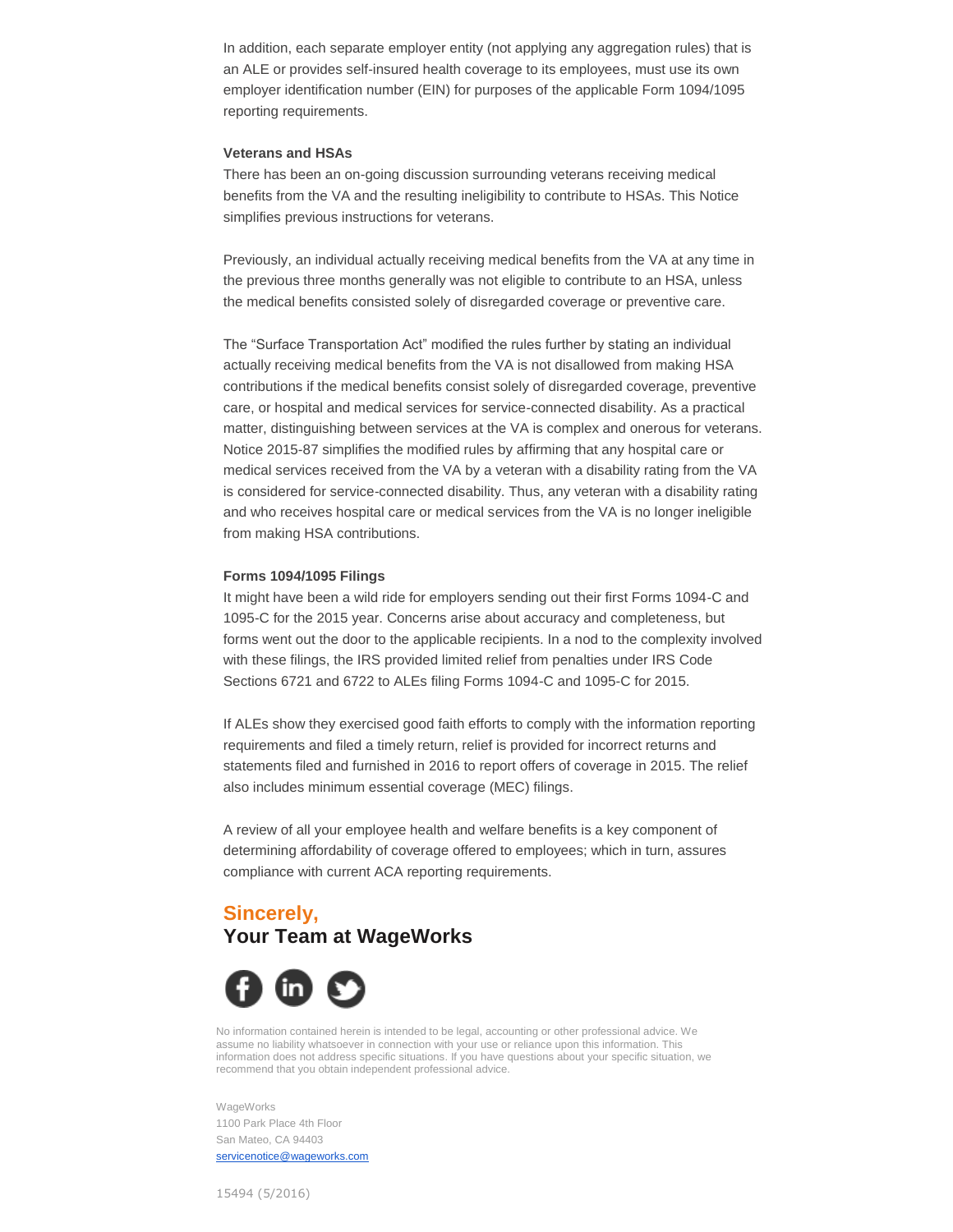In addition, each separate employer entity (not applying any aggregation rules) that is an ALE or provides self-insured health coverage to its employees, must use its own employer identification number (EIN) for purposes of the applicable Form 1094/1095 reporting requirements.

## **Veterans and HSAs**

There has been an on-going discussion surrounding veterans receiving medical benefits from the VA and the resulting ineligibility to contribute to HSAs. This Notice simplifies previous instructions for veterans.

Previously, an individual actually receiving medical benefits from the VA at any time in the previous three months generally was not eligible to contribute to an HSA, unless the medical benefits consisted solely of disregarded coverage or preventive care.

The "Surface Transportation Act" modified the rules further by stating an individual actually receiving medical benefits from the VA is not disallowed from making HSA contributions if the medical benefits consist solely of disregarded coverage, preventive care, or hospital and medical services for service-connected disability. As a practical matter, distinguishing between services at the VA is complex and onerous for veterans. Notice 2015-87 simplifies the modified rules by affirming that any hospital care or medical services received from the VA by a veteran with a disability rating from the VA is considered for service-connected disability. Thus, any veteran with a disability rating and who receives hospital care or medical services from the VA is no longer ineligible from making HSA contributions.

## **Forms 1094/1095 Filings**

It might have been a wild ride for employers sending out their first Forms 1094-C and 1095-C for the 2015 year. Concerns arise about accuracy and completeness, but forms went out the door to the applicable recipients. In a nod to the complexity involved with these filings, the IRS provided limited relief from penalties under IRS Code Sections 6721 and 6722 to ALEs filing Forms 1094-C and 1095-C for 2015.

If ALEs show they exercised good faith efforts to comply with the information reporting requirements and filed a timely return, relief is provided for incorrect returns and statements filed and furnished in 2016 to report offers of coverage in 2015. The relief also includes minimum essential coverage (MEC) filings.

A review of all your employee health and welfare benefits is a key component of determining affordability of coverage offered to employees; which in turn, assures compliance with current ACA reporting requirements.

# **Sincerely, Your Team at WageWorks**



No information contained herein is intended to be legal, accounting or other professional advice. We assume no liability whatsoever in connection with your use or reliance upon this information. This information does not address specific situations. If you have questions about your specific situation, we recommend that you obtain independent professional advice.

**WageWorks** 1100 Park Place 4th Floor San Mateo, CA 94403 [servicenotice@wageworks.com](mailto:servicenotice@wageworks.com)

15494 (5/2016)